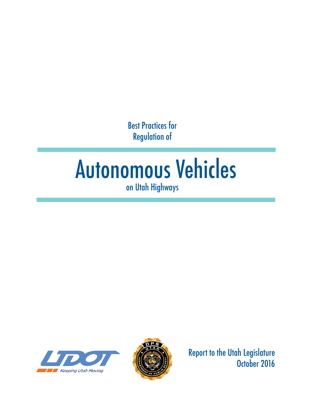Best Practices for Regulation of

# Autonomous Vehicles on Utah Highways





Report to the Utah Legislature October 2016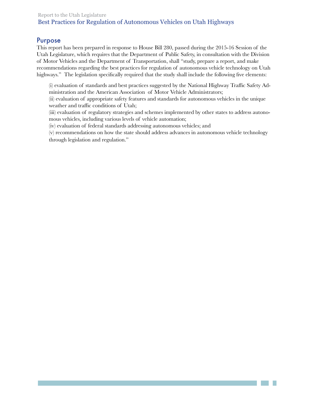## Purpose

This report has been prepared in response to House Bill 280, passed during the 2015-16 Session of the Utah Legislature, which requires that the Department of Public Safety, in consultation with the Division of Motor Vehicles and the Department of Transportation, shall "study, prepare a report, and make recommendations regarding the best practices for regulation of autonomous vehicle technology on Utah highways." The legislation specifically required that the study shall include the following five elements:

(i) evaluation of standards and best practices suggested by the National Highway Traffic Safety Administration and the American Association of Motor Vehicle Administrators;

(ii) evaluation of appropriate safety features and standards for autonomous vehicles in the unique weather and traffic conditions of Utah;

(iii) evaluation of regulatory strategies and schemes implemented by other states to address autonomous vehicles, including various levels of vehicle automation;

(iv) evaluation of federal standards addressing autonomous vehicles; and

(v) recommendations on how the state should address advances in autonomous vehicle technology through legislation and regulation."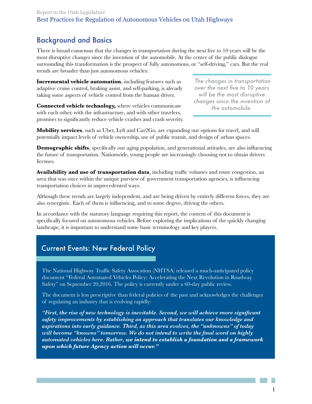# Background and Basics

There is broad consensus that the changes in transportation during the next five to 10 years will be the most disruptive changes since the invention of the automobile. At the center of the public dialogue surrounding this transformation is the prospect of fully autonomous, or "self-driving," cars. But the real trends are broader than just autonomous vehicles:

**Incremental vehicle automation**, including features such as adaptive cruise control, braking assist, and self-parking, is already taking some aspects of vehicle control from the human driver.

**Connected vehicle technology,** where vehicles communicate with each other, with the infrastructure, and with other travelers, promises to significantly reduce vehicle crashes and crash severity.

*The changes in transportation over the next five to 10 years will be the most disruptive changes since the invention of the automobile.*

**Mobility services**, such as Uber, Lyft and Car2Go, are expanding our options for travel, and will potentially impact levels of vehicle ownership, use of public transit, and design of urban spaces.

**Demographic shifts**, specifically our aging population, and generational attitudes, are also influencing the future of transportation. Nationwide, young people are increasingly choosing not to obtain drivers licenses.

**Availability and use of transportation data**, including traffic volumes and route congestion, an area that was once within the unique purview of government transportation agencies, is influencing transportation choices in unprecedented ways.

Although these trends are largely independent, and are being driven by entirely different forces, they are also synergistic. Each of them is influencing, and to some degree, driving the others.

In accordance with the statutory language requiring this report, the content of this document is specifically focused on autonomous vehicles. Before exploring the implications of the quickly changing landscape, it is important to understand some basic terminology and key players.

# Current Events: New Federal Policy

The National Highway Traffic Safety Assocation (NHTSA) released a much-anticipated policy document "Federal Automated Vehicles Policy: Accelerating the Next Revolution in Roadway Safety" on September 20,2016. The policy is currently under a 60-day public review.

The document is less prescriptive than federal policies of the past and acknowledges the challenges of regulating an industry that is evolving rapidly:

*"First, the rise of new technology is inevitable. Second, we will achieve more significant safety improvements by establishing an approach that translates our knowledge and aspirations into early guidance. Third, as this area evolves, the "unknowns" of today will become "knowns" tomorrow. We do not intend to write the final word on highly automated vehicles here. Rather, we intend to establish a foundation and a framework upon which future Agency action will occur."*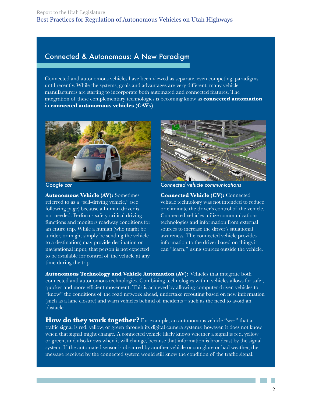## Connected & Autonomous: A New Paradigm

Connected and autonomous vehicles have been viewed as separate, even competing, paradigms until recently. While the systems, goals and advantages are very different, many vehicle manufacturers are starting to incorporate both automated and connected features. The integration of these complementary technologies is becoming know as **connected automation** in **connected autonomous vehicles (CAVs)**.



**Autonomous Vehicle (AV):** Sometimes referred to as a "self-driving vehicle," (see following page) because a human driver is not needed. Performs safety-critical driving functions and monitors roadway conditions for an entire trip. While a human (who might be a rider, or might simply be sending the vehicle to a destination) may provide destination or navigational input, that person is not expected to be available for control of the vehicle at any time during the trip.



*Google car Connected vehicle communications*

**Connected Vehicle (CV):** Connected vehicle technology was not intended to reduce or eliminate the driver's control of the vehicle. Connected vehicles utilize communications technologies and information from external sources to increase the driver's situational awareness. The connected vehicle provides information to the driver based on things it can "learn," using sources outside the vehicle.

**Autonomous Technology and Vehicle Automation (AV):** Vehicles that integrate both connected and autonomous technologies. Combining technologies within vehicles allows for safer, quicker and more efficient movement. This is achieved by allowing computer driven vehicles to "know" the conditions of the road network ahead, undertake rerouting based on new information (such as a lane closure) and warn vehicles behind of incidents – such as the need to avoid an obstacle.

**How do they work together?** For example, an autonomous vehicle "sees" that a traffic signal is red, yellow, or green through its digital camera systems; however, it does not know when that signal might change. A connected vehicle likely knows whether a signal is red, yellow or green, and also knows when it will change, because that information is broadcast by the signal system. If the automated sensor is obscured by another vehicle or sun glare or bad weather, the message received by the connected system would still know the condition of the traffic signal.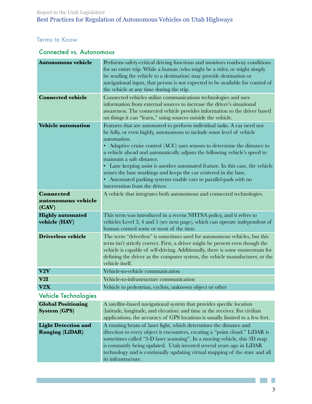## Terms to Know

## Connected vs. Autonomous

| <b>Autonomous vehicle</b>                            | Performs safety-critical driving functions and monitors roadway conditions<br>for an entire trip. While a human (who might be a rider, or might simply<br>be sending the vehicle to a destination) may provide destination or<br>navigational input, that person is not expected to be available for control of<br>the vehicle at any time during the trip.                                                                                                                                                                                                                                                     |  |
|------------------------------------------------------|-----------------------------------------------------------------------------------------------------------------------------------------------------------------------------------------------------------------------------------------------------------------------------------------------------------------------------------------------------------------------------------------------------------------------------------------------------------------------------------------------------------------------------------------------------------------------------------------------------------------|--|
| <b>Connected vehicle</b>                             | Connected vehicles utilize communications technologies and uses<br>information from external sources to increase the driver's situational<br>awareness. The connected vehicle provides information to the driver based<br>on things it can "learn," using sources outside the vehicle.                                                                                                                                                                                                                                                                                                                          |  |
| <b>Vehicle automation</b>                            | Features that are automated to perform individual tasks. A car need not<br>be fully, or even highly, autonomous to include some level of vehicle<br>automation.<br>Adaptive cruise control (ACC) uses sensors to determine the distance to<br>a vehicle ahead and automatically adjusts the following vehicle's speed to<br>maintain a safe distance.<br>• Lane keeping assist is another automated feature. In this case, the vehicle<br>senses the lane markings and keeps the car centered in the lane.<br>• Automated parking systems enable cars to parallel-park with no<br>intervention from the driver. |  |
| <b>Connected</b><br>autonomous vehicle<br>(CAV)      | A vehicle that integrates both autonomous and connected technologies.                                                                                                                                                                                                                                                                                                                                                                                                                                                                                                                                           |  |
| <b>Highly automated</b><br>vehicle (HAV)             | This term was introduced in a recent NHTSA policy, and it refers to<br>vehicles Level 3, 4 and 5 (see next page), which can operate independent of<br>human control some or most of the time.                                                                                                                                                                                                                                                                                                                                                                                                                   |  |
| <b>Driverless vehicle</b>                            | The term "driverless" is sometimes used for autonomous vehicles, but this<br>term isn't strictly correct. First, a driver might be present even though the<br>vehicle is capable of self-driving. Additionally, there is some momentum for<br>defining the driver as the computer system, the vehicle manufacturer, or the<br>vehicle itself.                                                                                                                                                                                                                                                                   |  |
| V2V                                                  | Vehicle-to-vehicle communication                                                                                                                                                                                                                                                                                                                                                                                                                                                                                                                                                                                |  |
| V2I                                                  | Vehicle-to-infrastructure communication                                                                                                                                                                                                                                                                                                                                                                                                                                                                                                                                                                         |  |
| $\mathbf{V2}\mathbf{X}$                              | Vehicle to pedestrian, cyclists, unknown object or other                                                                                                                                                                                                                                                                                                                                                                                                                                                                                                                                                        |  |
| <b>Vehicle Technologies</b>                          |                                                                                                                                                                                                                                                                                                                                                                                                                                                                                                                                                                                                                 |  |
| <b>Global Positioning</b><br><b>System (GPS)</b>     | A satellite-based navigational system that provides specific location<br>(latitude, longitude, and elevation) and time at the receiver. For civilian<br>applications, the accuracy of GPS locations is usually limited to a few feet.                                                                                                                                                                                                                                                                                                                                                                           |  |
| <b>Light Detection and</b><br><b>Ranging (LiDAR)</b> | A rotating beam of laser light, which determines the distance and<br>direction to every object it encounters, creating a "point cloud." LiDAR is<br>sometimes called "3-D laser scanning". In a moving vehicle, this 3D map<br>is constantly being updated. Utah invested several years ago in LiDAR<br>technology and is continually updating virtual mapping of the state and all<br>its infrastructure.                                                                                                                                                                                                      |  |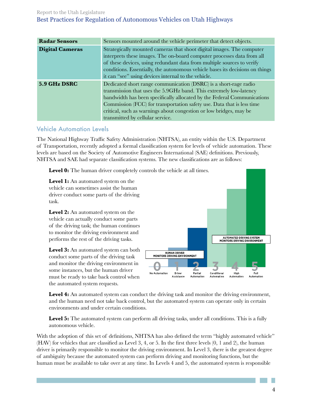| <b>Radar Sensors</b>   | Sensors mounted around the vehicle perimeter that detect objects.                                                                                                                                                                                                                                                                                                                                     |  |
|------------------------|-------------------------------------------------------------------------------------------------------------------------------------------------------------------------------------------------------------------------------------------------------------------------------------------------------------------------------------------------------------------------------------------------------|--|
| <b>Digital Cameras</b> | Strategically mounted cameras that shoot digital images. The computer<br>interprets these images. The on-board computer processes data from all<br>of these devices, using redundant data from multiple sources to verify<br>conditions. Essentially, the autonomous vehicle bases its decisions on things<br>it can "see" using devices internal to the vehicle.                                     |  |
| 5.9 GHz DSRC           | Dedicated short range communication (DSRC) is a short-rage radio<br>transmission that uses the 5.9GHz band. This extremely low-latency<br>bandwidth has been specifically allocated by the Federal Communications<br>Commission (FCC) for transportation safety use. Data that is less time<br>critical, such as warnings about congestion or low bridges, may be<br>transmitted by cellular service. |  |

## Vehicle Automation Levels

The National Highway Traffic Safety Administration (NHTSA), an entity within the U.S. Department of Transportation, recently adopted a formal classification system for levels of vehicle automation. These levels are based on the Society of Automotive Engineers International (SAE) definitions. Previously, NHTSA and SAE had separate classification systems. The new classifications are as follows:

Level 0: The human driver completely controls the vehicle at all times.

**Level 1:** An automated system on the vehicle can sometimes assist the human driver conduct some parts of the driving task.

**Level 2:** An automated system on the vehicle can actually conduct some parts of the driving task; the human continues to monitor the driving environment and performs the rest of the driving tasks.

Level 3: An automated system can both conduct some parts of the driving task and monitor the driving environment in some instances, but the human driver must be ready to take back control when the automated system requests.



**Level 4:** An automated system can conduct the driving task and monitor the driving environment, and the human need not take back control, but the automated system can operate only in certain environments and under certain conditions.

**Level 5:** The automated system can perform all driving tasks, under all conditions. This is a fully autonomous vehicle.

With the adoption of this set of definitions, NHTSA has also defined the term "highly automated vehicle" (HAV) for vehicles that are classified as Level 3, 4, or 5. In the first three levels (0, 1 and 2), the human driver is primarily responsible to monitor the driving environment. In Level 3, there is the greatest degree of ambiguity because the automated system can perform driving and monitoring functions, but the human must be available to take over at any time. In Levels 4 and 5, the automated system is responsible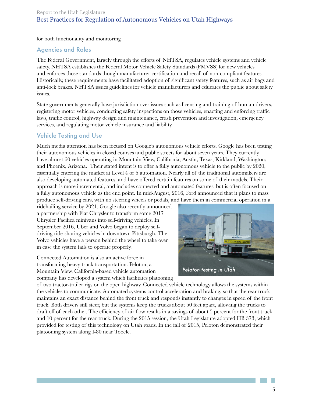for both functionality and monitoring.

## Agencies and Roles

The Federal Government, largely through the efforts of NHTSA, regulates vehicle systems and vehicle safety. NHTSA establishes the Federal Motor Vehicle Safety Standards (FMVSS) for new vehicles and enforces those standards though manufacturer certification and recall of non-compliant features. Historically, these requirements have facilitated adoption of significant safety features, such as air bags and anti-lock brakes. NHTSA issues guidelines for vehicle manufacturers and educates the public about safety issues.

State governments generally have jurisdiction over issues such as licensing and training of human drivers, registering motor vehicles, conducting safety inspections on those vehicles, enacting and enforcing traffic laws, traffic control, highway design and maintenance, crash prevention and investigation, emergency services, and regulating motor vehicle insurance and liability.

## Vehicle Testing and Use

Much media attention has been focused on Google's autonomous vehicle efforts. Google has been testing their autonomous vehicles in closed courses and public streets for about seven years. They currently have almost 60 vehicles operating in Mountain View, California; Austin, Texas; Kirkland, Washington; and Phoenix, Arizona. Their stated intent is to offer a fully autonomous vehicle to the public by 2020, essentially entering the market at Level 4 or 5 automation. Nearly all of the traditional automakers are also developing automated features, and have offered certain features on some of their models. Their approach is more incremental, and includes connected and automated features, but is often focused on a fully autonomous vehicle as the end point. In mid-August, 2016, Ford announced that it plans to mass produce self-driving cars, with no steering wheels or pedals, and have them in commercial operation in a

ridehailing service by 2021. Google also recently announced a partnership with Fiat Chrysler to transform some 2017 Chrysler Pacifica minivans into self-driving vehicles. In September 2016, Uber and Volvo began to deploy selfdriving ride-sharing vehicles in downtown Pittsburgh. The Volvo vehicles have a person behind the wheel to take over in case the system fails to operate properly.

Connected Automation is also an active force in transforming heavy truck transportation. Peloton, a Mountain View, California-based vehicle automation company has developed a system which facilitates platooning



of two tractor-trailer rigs on the open highway. Connected vehicle technology allows the systems within the vehicles to communicate. Automated systems control acceleration and braking, so that the rear truck maintains an exact distance behind the front truck and responds instantly to changes in speed of the front truck. Both drivers still steer, but the systems keep the trucks about 50 feet apart, allowing the trucks to draft off of each other. The efficiency of air flow results in a savings of about 5 percent for the front truck and 10 percent for the rear truck. During the 2015 session, the Utah Legislature adopted HB 373, which provided for testing of this technology on Utah roads. In the fall of 2015, Peloton demonstrated their platooning system along I-80 near Tooele.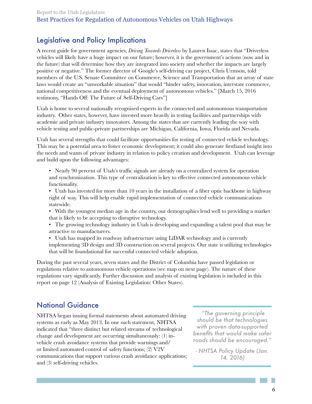# Legislative and Policy Implications

A recent guide for government agencies, *Driving Towards Driverless* by Lauren Issac, states that "Driverless vehicles will likely have a huge impact on our future; however, it is the government's actions (now and in the future) that will determine how they are integrated into society and whether the impacts are largely positive or negative." The former director of Google's self-driving car project, Chris Urmson, told members of the U.S. Senate Committee on Commerce, Science and Transportation that an array of state laws would create an "unworkable situation" that would "hinder safety, innovation, interstate commerce, national competitiveness and the eventual deployment of autonomous vehicles." [March 15, 2016 testimony, "Hands Off: The Future of Self-Driving Cars"]

Utah is home to several nationally recognized experts in the connected and autonomous transportation industry. Other states, however, have invested more heavily in testing facilities and partnerships with academic and private industry innovators. Among the states that are currently leading the way with vehicle testing and public-private partnerships are Michigan, California, Iowa, Florida and Nevada.

Utah has several strengths that could facilitate opportunities for testing of connected vehicle technology. This may be a potential area to foster economic development; it could also generate firsthand insight into the needs and wants of private industry in relation to policy creation and development. Utah can leverage and build upon the following advantages:

- Nearly 90 percent of Utah's traffic signals are already on a centralized system for operation and synchronization. This type of centralization is key to effective connected autonomous vehicle functionality.
- Utah has invested for more than 10 years in the installation of a fiber optic backbone in highway right of way. This will help enable rapid implementation of connected vehicle communications statewide.
- With the youngest median age in the country, our demographics lend well to providing a market that is likely to be accepting to disruptive technology.
- The growing technology industry in Utah is developing and expanding a talent pool that may be attractive to manufacturers.
- Utah has mapped its roadway infrastructure using LiDAR technology and is currently implementing 3D design and 3D construction on several projects. Our state is utilizing technologies that will be foundational for successful connected vehicle adoption.

During the past several years, seven states and the District of Columbia have passed legislation or regulations relative to autonomous vehicle operations (see map on next page). The nature of these regulations vary significantly. Further discussion and analysis of existing legislation is included in this report on page 12 (Analysis of Existing Legislation: Other States).

# National Guidance

NHTSA began issuing formal statements about automated driving systems as early as May 2013. In one such statement, NHTSA indicated that "three distinct but related streams of technological change and development are occurring simultaneously: (1) invehicle crash avoidance systems that provide warnings and/ or limited automated control of safety functions; (2) V2V communications that support various crash avoidance applications; and (3) self-driving vehicles.

*"The governing principle should be that technologies with proven data-supported benefits that would make safer roads should be encouraged."*

*- NHTSA Policy Update (Jan. 14, 2016)*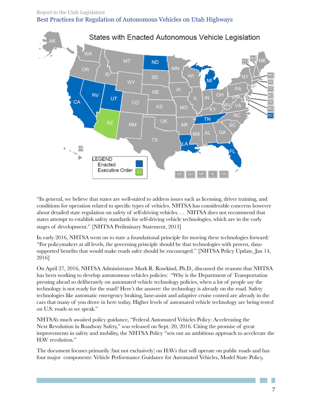

"In general, we believe that states are well-suited to address issues such as licensing, driver training, and conditions for operation related to specific types of vehicles. NHTSA has considerable concerns however about detailed state regulation on safety of self-driving vehicles. . . NHTSA does not recommend that states attempt to establish safety standards for self-driving vehicle technologies, which are in the early stages of development." [NHTSA Preliminary Statement, 2013]

In early 2016, NHTSA went on to state a foundational principle for moving these technologies forward: "For policymakers at all levels, the governing principle should be that technologies with proven, datasupported benefits that would make roads safer should be encouraged." [NHTSA Policy Update, Jan 14, 2016]

On April 27, 2016, NHTSA Administrator Mark R. Rosekind, Ph.D., discussed the reasons that NHTSA has been working to develop autonomous vehicles policies: "Why is the Department of Transportation pressing ahead so deliberately on automated vehicle technology policies, when a lot of people say the technology is not ready for the road? Here's the answer: the technology is already on the road. Safety technologies like automatic emergency braking, lane-assist and adaptive cruise control are already in the cars that many of you drove in here today. Higher levels of automated vehicle technology are being tested on U.S. roads as we speak."

NHTSA's much awaited policy guidance, "Federal Automated Vehicles Policy: Accelerating the Next Revolution in Roadway Safety," was released on Sept. 20, 2016. Citing the promise of great improvements in safety and mobility, the NHTSA Policy "sets out an ambitious approach to accelerate the HAV revolution."

The document focuses primarily (but not exclusively) on HAVs that will operate on public roads and has four major components: Vehicle Performance Guidance for Automated Vehicles, Model State Policy,

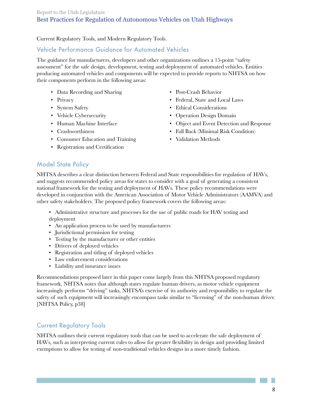#### Current Regulatory Tools, and Modern Regulatory Tools.

## Vehicle Performance Guidance for Automated Vehicles

The guidance for manufacturers, developers and other organizations outlines a 15-point "safety assessment" for the safe design, development, testing and deployment of automated vehicles. Entities producing automated vehicles and components will be expected to provide reports to NHTSA on how their components perform in the following areas:

- Data Recording and Sharing Post-Crash Behavior
- 
- 
- 
- 
- 
- Consumer Education and Training Validation Methods
- Registration and Certification
- 
- Privacy Federal, State and Local Laws
- System Safety Ethical Considerations
- Vehicle Cybersecurity Operation Design Domain
- Human Machine Interface Object and Event Detection and Response
- Crashworthiness Fall Back (Minimal Risk Condition)
	-

## Model State Policy

NHTSA describes a clear distinction between Federal and State responsibilities for regulation of HAVs, and suggests recommended policy areas for states to consider with a goal of generating a consistent national framework for the testing and deployment of HAVs. These policy recommendations were developed in conjunction with the American Association of Motor Vehicle Administrators (AAMVA) and other safety stakeholders. The proposed policy framework covers the following areas:

- Administrative structure and processes for the use of public roads for HAV testing and deployment
- An application process to be used by manufacturers
- Jurisdictional permission for testing
- Testing by the manufacturer or other entities
- Drivers of deployed vehicles
- Registration and titling of deployed vehicles
- Law enforcement considerations
- Liability and insurance issues

Recommendations proposed later in this paper come largely from this NHTSA proposed regulatory framework. NHTSA notes that although states regulate human drivers, as motor vehicle equipment increasingly performs "driving" tasks, NHTSA's exercise of its authority and responsibility to regulate the safety of such equipment will increasingly encompass tasks similar to "licensing" of the non-human driver. [NHTSA Policy, p38]

## Current Regulatory Tools

NHTSA outlines their current regulatory tools that can be used to accelerate the safe deployment of HAVs, such as interpreting current rules to allow for greater flexibility in design and providing limited exemptions to allow for testing of non-traditional vehicles designs in a more timely fashion.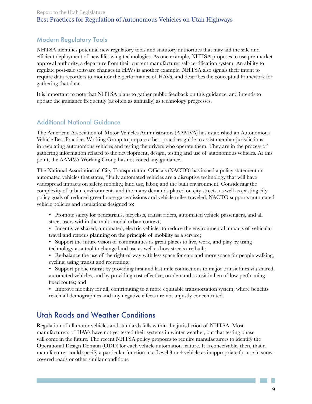## Modern Regulatory Tools

NHTSA identifies potential new regulatory tools and statutory authorities that may aid the safe and efficient deployment of new lifesaving technologies. As one example, NHTSA proposes to use pre-market approval authority, a departure from their current manufacturer self-certification system. An ability to regulate post-sale software changes in HAVs is another example. NHTSA also signals their intent to require data recorders to monitor the performance of HAVs, and describes the conceptual framework for gathering that data.

It is important to note that NHTSA plans to gather public feedback on this guidance, and intends to update the guidance frequently (as often as annually) as technology progresses.

## Additional National Guidance

The American Association of Motor Vehicles Administrators (AAMVA) has established an Autonomous Vehicle Best Practices Working Group to prepare a best practices guide to assist member jurisdictions in regulating autonomous vehicles and testing the drivers who operate them. They are in the process of gathering information related to the development, design, testing and use of autonomous vehicles. At this point, the AAMVA Working Group has not issued any guidance.

The National Association of City Transportation Officials (NACTO) has issued a policy statement on automated vehicles that states, "Fully automated vehicles are a disruptive technology that will have widespread impacts on safety, mobility, land use, labor, and the built environment. Considering the complexity of urban environments and the many demands placed on city streets, as well as existing city policy goals of reduced greenhouse gas emissions and vehicle miles traveled, NACTO supports automated vehicle policies and regulations designed to:

- Promote safety for pedestrians, bicyclists, transit riders, automated vehicle passengers, and all street users within the multi-modal urban context;
- Incentivize shared, automated, electric vehicles to reduce the environmental impacts of vehicular travel and refocus planning on the principle of mobility as a service;
- Support the future vision of communities as great places to live, work, and play by using technology as a tool to change land use as well as how streets are built;
- Re-balance the use of the right-of-way with less space for cars and more space for people walking, cycling, using transit and recreating;
- Support public transit by providing first and last mile connections to major transit lines via shared, automated vehicles, and by providing cost-effective, on-demand transit in lieu of low-performing fixed routes; and
- Improve mobility for all, contributing to a more equitable transportation system, where benefits reach all demographics and any negative effects are not unjustly concentrated.

# Utah Roads and Weather Conditions

Regulation of all motor vehicles and standards falls within the jurisdiction of NHTSA. Most manufacturers of HAVs have not yet tested their systems in winter weather, but that testing phase will come in the future. The recent NHTSA policy proposes to require manufacturers to identify the Operational Design Domain (ODD) for each vehicle automation feature. It is conceivable, then, that a manufacturer could specify a particular function in a Level 3 or 4 vehicle as inappropriate for use in snowcovered roads or other similar conditions.

> P. 9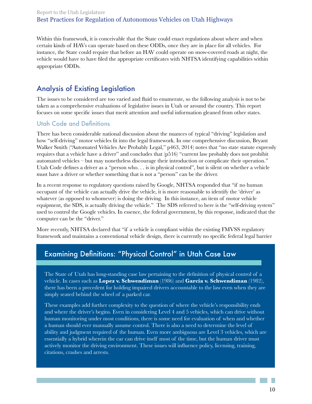Within this framework, it is conceivable that the State could enact regulations about where and when certain kinds of HAVs can operate based on these ODDs, once they are in place for all vehicles. For instance, the State could require that before an HAV could operate on snow-covered roads at night, the vehicle would have to have filed the appropriate certificates with NHTSA identifying capabilities within appropriate ODDs.

# Analysis of Existing Legislation

The issues to be considered are too varied and fluid to enumerate, so the following analysis is not to be taken as a comprehensive evaluations of legislative issues in Utah or around the country. This report focuses on some specific issues that merit attention and useful information gleaned from other states.

## Utah Code and Definitions

There has been considerable national discussion about the nuances of typical "driving" legislation and how "self-driving" motor vehicles fit into the legal framework. In one comprehensive discussion, Bryant Walker Smith ("Automated Vehicles Are Probably Legal," p463, 2014) notes that "no state statute expressly requires that a vehicle have a driver" and concludes that (p516) "current law probably does not prohibit automated vehicles – but may nonetheless discourage their introduction or complicate their operation." Utah Code defines a driver as a "person who. . . is in physical control", but is silent on whether a vehicle must have a driver or whether something that is not a "person" can be the driver.

In a recent response to regulatory questions raised by Google, NHTSA responded that "if no human occupant of the vehicle can actually drive the vehicle, it is more reasonable to identify the 'driver' as whatever (as opposed to whomever) is doing the driving. In this instance, an item of motor vehicle equipment, the SDS, is actually driving the vehicle." The SDS referred to here is the "self-driving system" used to control the Google vehicles. In essence, the federal government, by this response, indicated that the computer can be the "driver."

More recently, NHTSA declared that "if a vehicle is compliant within the existing FMVSS regulatory framework and maintains a conventional vehicle design, there is currently no specific federal legal barrier

# Examining Definitions: "Physical Control" in Utah Case Law

The State of Utah has long-standing case law pertaining to the definition of physical control of a vehicle. In cases such as **Lopez v. Schwendiman** (1986) and **Garcia v. Schwendiman** (1982), there has been a precedent for holding impaired drivers accountable to the law even when they are simply seated behind the wheel of a parked car.

These examples add further complexity to the question of where the vehicle's responsibility ends and where the driver's begins. Even in considering Level 4 and 5 vehicles, which can drive without human monitoring under most conditions, there is some need for evaluation of when and whether a human should ever manually assume control. There is also a need to determine the level of ability and judgment required of the human. Even more ambiguous are Level 3 vehicles, which are essentially a hybrid wherein the car can drive itself most of the time, but the human driver must actively monitor the driving environment. These issues will influence policy, licensing, training, citations, crashes and arrests.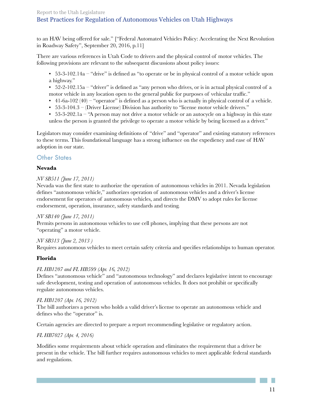to an HAV being offered for sale." ["Federal Automated Vehicles Policy: Accelerating the Next Revolution in Roadway Safety", September 20, 2016, p.11]

There are various references in Utah Code to drivers and the physical control of motor vehicles. The following provisions are relevant to the subsequent discussions about policy issues:

- 53-3-102.14a "drive" is defined as "to operate or be in physical control of a motor vehicle upon a highway."
- $\bullet$  52-2-102.15a "driver" is defined as "any person who drives, or is in actual physical control of a motor vehicle in any location open to the general public for purposes of vehicular traffic."
- 41-6a-102 (40) "operator" is defined as a person who is actually in physical control of a vehicle.
- 53-3-104.3 (Driver License) Division has authority to "license motor vehicle drivers."
- 53-3-202.1a "A person may not drive a motor vehicle or an autocycle on a highway in this state unless the person is granted the privilege to operate a motor vehicle by being licensed as a driver."

Legislators may consider examining definitions of "drive" and "operator" and existing statutory references to these terms. This foundational language has a strong influence on the expediency and ease of HAV adoption in our state.

## **Other States**

#### **Nevada**

#### *NV SB511 (June 17, 2011)*

Nevada was the first state to authorize the operation of autonomous vehicles in 2011. Nevada legislation defines "autonomous vehicle," authorizes operation of autonomous vehicles and a driver's license endorsement for operators of autonomous vehicles, and directs the DMV to adopt rules for license endorsement, operation, insurance, safety standards and testing.

#### *NV SB140 (June 17, 2011)*

Permits persons in autonomous vehicles to use cell phones, implying that these persons are not "operating" a motor vehicle.

#### *NV SB313 (June 2, 2013 )*

Requires autonomous vehicles to meet certain safety criteria and specifies relationships to human operator.

#### **Florida**

#### *FL HB1207 and FL HB599 (Apr. 16, 2012)*

Defines "autonomous vehicle" and "autonomous technology" and declares legislative intent to encourage safe development, testing and operation of autonomous vehicles. It does not prohibit or specifically regulate autonomous vehicles.

#### *FL HB1207 (Apr. 16, 2012)*

The bill authorizes a person who holds a valid driver's license to operate an autonomous vehicle and defines who the "operator" is.

Certain agencies are directed to prepare a report recommending legislative or regulatory action.

#### *FL HB7027 (Apr. 4, 2016)*

Modifies some requirements about vehicle operation and eliminates the requirement that a driver be present in the vehicle. The bill further requires autonomous vehicles to meet applicable federal standards and regulations.

> P. 11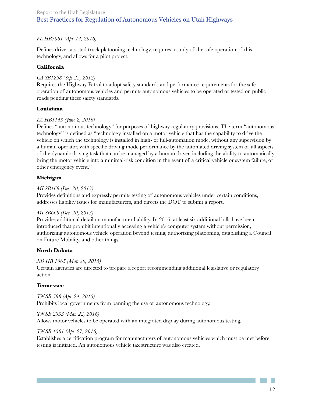#### *FL HB7061 (Apr. 14, 2016)*

Defines driver-assisted truck platooning technology, requires a study of the safe operation of this technology, and allows for a pilot project.

#### **California**

#### *CA SB1298 (Sep. 25, 2012)*

Requires the Highway Patrol to adopt safety standards and performance requirements for the safe operation of autonomous vehicles and permits autonomous vehicles to be operated or tested on public roads pending these safety standards.

#### **Louisiana**

#### *LA HB1143 (June 2, 2016)*

Defines "autonomous technology" for purposes of highway regulatory provisions. The term "autonomous technology" is defined as "technology installed on a motor vehicle that has the capability to drive the vehicle on which the technology is installed in high- or full-automation mode, without any supervision by a human operator, with specific driving mode performance by the automated driving system of all aspects of the dynamic driving task that can be managed by a human driver, including the ability to automatically bring the motor vehicle into a minimal-risk condition in the event of a critical vehicle or system failure, or other emergency event."

#### **Michigan**

#### *MI SB169 (Dec. 20, 2013)*

Provides definitions and expressly permits testing of autonomous vehicles under certain conditions, addresses liability issues for manufacturers, and directs the DOT to submit a report.

#### *MI SB663 (Dec. 20, 2013)*

Provides additional detail on manufacturer liability. In 2016, at least six additional bills have been introduced that prohibit intentionally accessing a vehicle's computer system without permission, authorizing autonomous vehicle operation beyond testing, authorizing platooning, establishing a Council on Future Mobility, and other things.

#### **North Dakota**

#### *ND HB 1065 (Mar. 20, 2015)*

Certain agencies are directed to prepare a report recommending additional legislative or regulatory action.

#### **Tennessee**

*TN SB 598 (Apr. 24, 2015)*  Prohibits local governments from banning the use of autonomous technology.

#### *TN SB 2333 (Mar. 22, 2016)*

Allows motor vehicles to be operated with an integrated display during autonomous testing.

#### *TN SB 1561 (Apr. 27, 2016)*

Establishes a certification program for manufacturers of autonomous vehicles which must be met before testing is initiated. An autonomous vehicle tax structure was also created.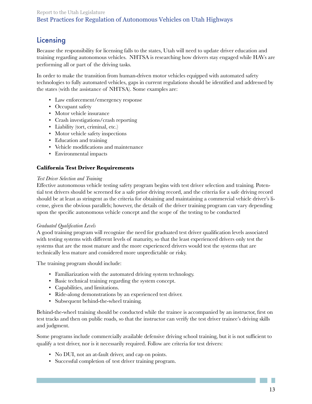# Licensing

Because the responsibility for licensing falls to the states, Utah will need to update driver education and training regarding autonomous vehicles. NHTSA is researching how drivers stay engaged while HAVs are performing all or part of the driving tasks.

In order to make the transition from human-driven motor vehicles equipped with automated safety technologies to fully automated vehicles, gaps in current regulations should be identified and addressed by the states (with the assistance of NHTSA). Some examples are:

- Law enforcement/emergency response
- Occupant safety
- Motor vehicle insurance
- Crash investigations/crash reporting
- Liability (tort, criminal, etc.)
- Motor vehicle safety inspections
- Education and training
- Vehicle modifications and maintenance
- Environmental impacts

#### **California Test Driver Requirements**

#### *Test Driver Selection and Training*

Effective autonomous vehicle testing safety program begins with test driver selection and training. Potential test drivers should be screened for a safe prior driving record, and the criteria for a safe driving record should be at least as stringent as the criteria for obtaining and maintaining a commercial vehicle driver's license, given the obvious parallels; however, the details of the driver training program can vary depending upon the specific autonomous vehicle concept and the scope of the testing to be conducted

#### *Graduated Qualification Levels*

A good training program will recognize the need for graduated test driver qualification levels associated with testing systems with different levels of maturity, so that the least experienced drivers only test the systems that are the most mature and the more experienced drivers would test the systems that are technically less mature and considered more unpredictable or risky.

The training program should include:

- Familiarization with the automated driving system technology.
- Basic technical training regarding the system concept.
- Capabilities, and limitations.
- Ride-along demonstrations by an experienced test driver.
- Subsequent behind-the-wheel training.

Behind-the-wheel training should be conducted while the trainee is accompanied by an instructor, first on test tracks and then on public roads, so that the instructor can verify the test driver trainee's driving skills and judgment.

Some programs include commercially available defensive driving school training, but it is not sufficient to qualify a test driver, nor is it necessarily required. Follow are criteria for test drivers:

- No DUI, not an at-fault driver, and cap on points.
- Successful completion of test driver training program.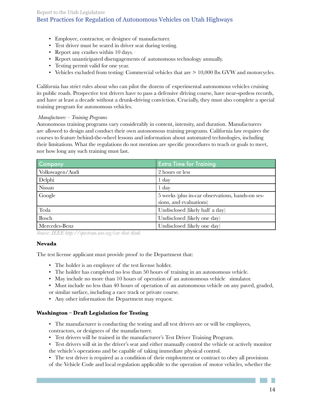- Employee, contractor, or designee of manufacturer.
- Test driver must be seated in driver seat during testing.
- Report any crashes within 10 days.·
- Report unanticipated disengagements of autonomous technology annually.
- Testing permit valid for one year.
- Vehicles excluded from testing: Commercial vehicles that are  $> 10,000$  lbs GVW and motorcycles.

California has strict rules about who can pilot the dozens of experimental autonomous vehicles cruising its public roads. Prospective test drivers have to pass a defensive driving course, have near-spotless records, and have at least a decade without a drunk-driving conviction. Crucially, they must also complete a special training program for autonomous vehicles.

#### *Manufacturers – Training Programs*

Autonomous training programs vary considerably in content, intensity, and duration. Manufacturers are allowed to design and conduct their own autonomous training programs. California law requires the courses to feature behind-the-wheel lessons and information about automated technologies, including their limitations. What the regulations do not mention are specific procedures to teach or goals to meet, nor how long any such training must last.

| Company         | <b>Extra Time for Training</b>                                              |
|-----------------|-----------------------------------------------------------------------------|
| Volkswagen/Audi | 2 hours or less                                                             |
| Delphi          | $1 \, day$                                                                  |
| Nissan          | $1 \,$ day                                                                  |
| Google          | 5 weeks (plus in-car observations, hands-on ses-<br>sions, and evaluations) |
| Tesla           | Undisclosed (likely half a day)                                             |
| Bosch           | Undisclosed (likely one day)                                                |
| Mercedes-Benz   | Undisclosed (likely one day)                                                |

*Source: IEEE http://spectrum.ieee.org/car-that-think* 

#### **Nevada**

The test license applicant must provide proof to the Department that:

- The holder is an employee of the test license holder.
- The holder has completed no less than 50 hours of training in an autonomous vehicle.
- May include no more than 10 hours of operation of an autonomous vehicle simulator.
- Must include no less than 40 hours of operation of an autonomous vehicle on any paved, graded, or similar surface, including a race track or private course.
- Any other information the Department may request.

#### **Washington – Draft Legislation for Testing**

- The manufacturer is conducting the testing and all test drivers are or will be employees, contractors, or designees of the manufacturer.
- Test drivers will be trained in the manufacturer's Test Driver Training Program.
- Test drivers will sit in the driver's seat and either manually control the vehicle or actively monitor the vehicle's operations and be capable of taking immediate physical control.
- The test driver is required as a condition of their employment or contract to obey all provisions of the Vehicle Code and local regulation applicable to the operation of motor vehicles, whether the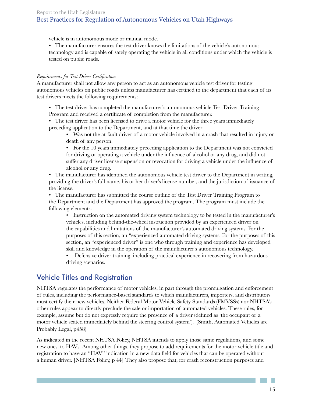vehicle is in autonomous mode or manual mode.

• The manufacturer ensures the test driver knows the limitations of the vehicle's autonomous technology and is capable of safely operating the vehicle in all conditions under which the vehicle is tested on public roads.

#### *Requirements for Test Driver Certification*

A manufacturer shall not allow any person to act as an autonomous vehicle test driver for testing autonomous vehicles on public roads unless manufacturer has certified to the department that each of its test drivers meets the following requirements:

• The test driver has completed the manufacturer's autonomous vehicle Test Driver Training Program and received a certificate of completion from the manufacturer.

• The test driver has been licensed to drive a motor vehicle for the three years immediately preceding application to the Department, and at that time the driver:

• Was not the at-fault driver of a motor vehicle involved in a crash that resulted in injury or death of any person.

• For the 10 years immediately preceding application to the Department was not convicted for driving or operating a vehicle under the influence of alcohol or any drug, and did not suffer any driver license suspension or revocation for driving a vehicle under the influence of alcohol or any drug.

• The manufacturer has identified the autonomous vehicle test driver to the Department in writing, providing the driver's full name, his or her driver's license number, and the jurisdiction of issuance of the license.

• The manufacturer has submitted the course outline of the Test Driver Training Program to the Department and the Department has approved the program. The program must include the following elements:

• Instruction on the automated driving system technology to be tested in the manufacturer's vehicles, including behind-the-wheel instruction provided by an experienced driver on the capabilities and limitations of the manufacturer's automated driving systems. For the purposes of this section, an "experienced automated driving systems. For the purposes of this section, an "experienced driver" is one who through training and experience has developed skill and knowledge in the operation of the manufacturer's autonomous technology.

• Defensive driver training, including practical experience in recovering from hazardous driving scenarios.

## Vehicle Titles and Registration

NHTSA regulates the performance of motor vehicles, in part through the promulgation and enforcement of rules, including the performance-based standards to which manufacturers, importers, and distributors must certify their new vehicles. Neither Federal Motor Vehicle Safety Standards (FMVSSs) nor NHTSA's other rules appear to directly preclude the sale or importation of automated vehicles. These rules, for example, assume but do not expressly require the presence of a driver (defined as 'the occupant of a motor vehicle seated immediately behind the steering control system'). (Smith, Automated Vehicles are Probably Legal, p458)

As indicated in the recent NHTSA Policy, NHTSA intends to apply those same regulations, and some new ones, to HAVs. Among other things, they propose to add requirements for the motor vehicle title and registration to have an "HAV" indication in a new data field for vehicles that can be operated without a human driver. [NHTSA Policy, p 44] They also propose that, for crash reconstruction purposes and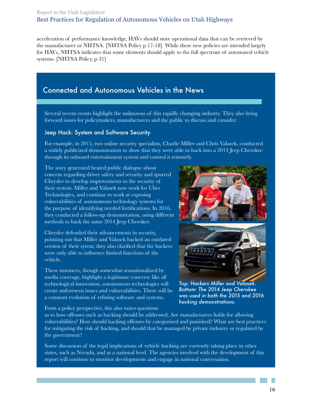acceleration of performance knowledge, HAVs should store operational data that can be retrieved by the manufacturer or NHTSA. [NHTSA Policy p 17-18] While these new policies are intended largely for HAVs, NHTSA indicates that some elements should apply to the full spectrum of automated vehicle systems. [NHTSA Policy, p 31]

# Connected and Autonomous Vehicles in the News

Several recent events highlight the unknowns of this rapidly changing industry. They also bring forward issues for policymakers, manufacturers and the public to discuss and consider.

#### Jeep Hack: System and Software Security

For example, in 2015, two online security specialists, Charlie Miller and Chris Valasek, conducted a widely publicized demonstration to show that they were able to hack into a 2014 Jeep Cherokee through its onboard entertainment system and control it remotely.

The story generated heated public dialogue about conerns regarding driver safety and security and spurred Chrysler to develop improvements to the security of their system. Miller and Valasek now work for Uber Technologies, and continue to work at exposing vulnerabilities of autonomous technology systems for the purpose of identifying needed fortifications. In 2016, they conducted a follow-up demonstration, using different methods to hack the same 2014 Jeep Cherokee.

Chrysler defended their advancements in security, pointing out that Miller and Valasek hacked an outdated version of their sytem; they also clarified that the hackers were only able to influence limited functions of the vehicle.

These instances, though somewhat sensationalized by media coverage, highlight a legitimate concern: like all technological innovation, autonomous technologies will create unforeseen issues and vulnerabilities. There will be a constant evolution of refining software and systems.

From a policy perspective, this also raises questions



*Top: Hackers Miller and Valasek. Bottom: The 2014 Jeep Cherokee was used in both the 2015 and 2016 hacking demonstrations.*

as to how offenses such as hacking should be addressed. Are manafacturers liable for allowing vulnerabilities? How should hacking offenses be categorized and punished? What are best practices for mitigating the risk of hacking, and should that be managed by private industry or regulated by the government?

Some discussion of the legal implications of vehicle hacking are currently taking place in other states, such as Nevada, and at a national level. The agencies involved with the development of this report will continue to monitor developments and engage in national conversation.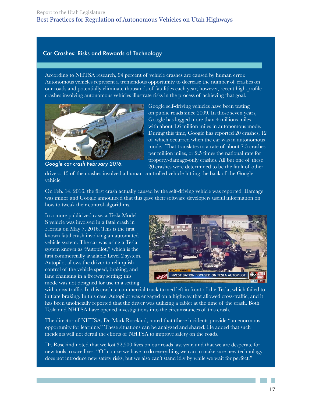#### Car Crashes: Risks and Rewards of Technology

According to NHTSA research, 94 percent of vehicle crashes are caused by human error. Autonomous vehicles represent a tremendous opportunity to decrease the number of crashes on our roads and potentially eliminate thousands of fatalities each year; however, recent high-profile crashes involving autonomous vehicles illustrate risks in the process of achieving that goal.



*Google car crash February 2016.*

Google self-driving vehicles have been testing on public roads since 2009. In those seven years, Google has logged more than 4 millions miles with about 1.6 million miles in autonomous mode. During this time, Google has reported 20 crashes, 12 of which occurred when the car was in autonomous mode. That translates to a rate of about 7.5 crashes per million miles, or 2.5 times the national rate for property-damage-only crashes. All but one of these 20 crashes were determined to be the fault of other

drivers; 15 of the crashes involved a human-controlled vehicle hitting the back of the Google vehicle.

On Feb. 14, 2016, the first crash actually caused by the self-driving vehicle was reported. Damage was minor and Google announced that this gave their software developers useful information on how to tweak their control algorithms.

In a more publicized case, a Tesla Model S vehicle was involved in a fatal crash in Florida on May 7, 2016. This is the first known fatal crash involving an automated vehicle system. The car was using a Tesla system known as "Autopilot," which is the first commercially available Level 2 system. Autopilot allows the driver to relinquish control of the vehicle speed, braking, and lane changing in a freeway setting; this mode was not designed for use in a setting



with cross-traffic. In this crash, a commercial truck turned left in front of the Tesla, which failed to initiate braking. In this case, Autopilot was engaged on a highway that allowed cross-traffic, and it has been unofficially reported that the driver was utilizing a tablet at the time of the crash. Both Tesla and NHTSA have opened investigations into the circumstances of this crash.

The director of NHTSA, Dr. Mark Rosekind, noted that tthese incidents provide "an enormous opportunity for learning." These situations can be analyzed and shared. He added that such incidents will not derail the efforts of NHTSA to improve safety on the roads.

Dr. Rosekind noted that we lost 32,500 lives on our roads last year, and that we are desperate for new tools to save lives. "Of course we have to do everything we can to make sure new technology does not introduce new safety risks, but we also can't stand idly by while we wait for perfect."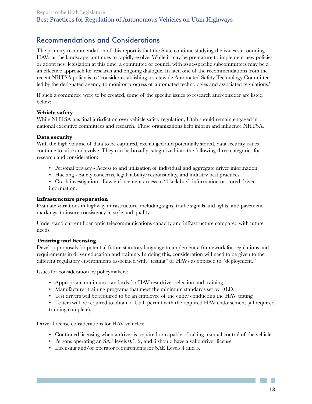# Recommendations and Considerations

The primary recommendation of this report is that the State continue studying the issues surrounding HAVs as the landscape continues to rapidly evolve. While it may be premature to implement new policies or adopt new legislation at this time, a committee or council with issue-specific subcommittees may be a an effective approach for research and ongoing dialogue. In fact, one of the recommendations from the recent NHTSA policy is to "consider establishing a statewide Automated Safety Technology Committee, led by the designated agency, to monitor progress of automated technologies and associated regulations."

If such a committee were to be created, some of the specific issues to research and consider are listed below:

#### **Vehicle safety**

While NHTSA has final jurisdiction over vehicle safety regulation, Utah should remain engaged in national executive committees and research. These organizations help inform and influence NHTSA.

#### **Data security**

With the high volume of data to be captured, exchanged and potentially stored, data security issues continue to arise and evolve. They can be broadly categorized into the following three categories for research and consideration:

- Personal privacy Access to and utilization of individual and aggregate driver information.
- Hacking Safety concerns, legal liability/responsibility, and industry best practices.
- Crash investigation Law enforcement access to "black box" information or stored driver information.

#### **Infrastructure preparation**

Evaluate variations in highway infrastructure, including signs, traffic signals and lights, and pavement markings, to insure consistency in style and quality.

Understand current fiber optic telecommunications capacity and infrastructure compared with future needs.

#### **Training and licensing**

Develop proposals for potential future statutory language to implement a framework for regulations and requirements in driver education and training. In doing this, consideration will need to be given to the different regulatory environments associated with "testing" of HAVs as opposed to "deployment."

Issues for consideration by policymakers:

- Appropriate minimum standards for HAV test driver selection and training.
- Manufacturer training programs that meet the minimum standards set by DLD.
- Test drivers will be required to be an employee of the entity conducting the HAV testing.
- Testers will be required to obtain a Utah permit with the required HAV endorsement (all required training complete).

Driver License considerations for HAV vehicles:

- Continued licensing when a driver is required or capable of taking manual control of the vehicle.
- Persons operating an SAE levels 0,1, 2, and 3 should have a valid driver license.
- Licensing and/or operator requirements for SAE Levels 4 and 5.